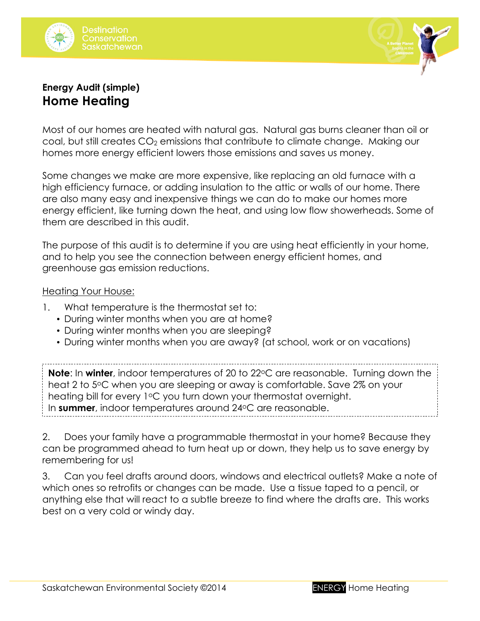



# **Energy Audit (simple) Home Heating**

Most of our homes are heated with natural gas. Natural gas burns cleaner than oil or coal, but still creates  $CO<sub>2</sub>$  emissions that contribute to climate change. Making our homes more energy efficient lowers those emissions and saves us money.

Some changes we make are more expensive, like replacing an old furnace with a high efficiency furnace, or adding insulation to the attic or walls of our home. There are also many easy and inexpensive things we can do to make our homes more energy efficient, like turning down the heat, and using low flow showerheads. Some of them are described in this audit.

The purpose of this audit is to determine if you are using heat efficiently in your home, and to help you see the connection between energy efficient homes, and greenhouse gas emission reductions.

#### Heating Your House:

- 1. What temperature is the thermostat set to:
	- During winter months when you are at home?
	- During winter months when you are sleeping?
	- During winter months when you are away? (at school, work or on vacations)

**Note**: In **winter**, indoor temperatures of 20 to 22 °C are reasonable. Turning down the heat 2 to 5°C when you are sleeping or away is comfortable. Save 2% on your heating bill for every  $1^{\circ}$ C you turn down your thermostat overnight. In **summer**, indoor temperatures around 24 °C are reasonable.

2. Does your family have a programmable thermostat in your home? Because they can be programmed ahead to turn heat up or down, they help us to save energy by remembering for us!

3. Can you feel drafts around doors, windows and electrical outlets? Make a note of which ones so retrofits or changes can be made. Use a tissue taped to a pencil, or anything else that will react to a subtle breeze to find where the drafts are. This works best on a very cold or windy day.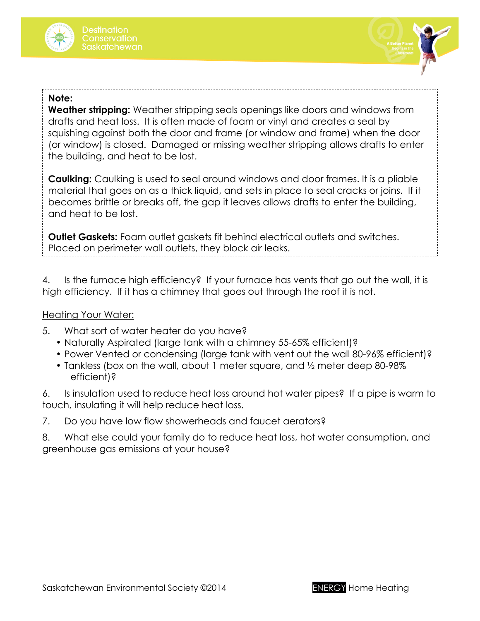



#### **Note:**

squishing against both the door and frame (or window and frame) when the door (or window) is closed. Damaged or missing weather stripping allows drafts to enter the building, and heat to be lost. **Weather stripping:** Weather stripping seals openings like doors and windows from drafts and heat loss. It is often made of foam or vinyl and creates a seal by

**Caulking:** Caulking is used to seal around windows and door frames. It is a pliable material that goes on as a thick liquid, and sets in place to seal cracks or joins. If it becomes brittle or breaks off, the gap it leaves allows drafts to enter the building, and heat to be lost.

**Outlet Gaskets:** Foam outlet gaskets fit behind electrical outlets and switches. Placed on perimeter wall outlets, they block air leaks.

4. Is the furnace high efficiency? If your furnace has vents that go out the wall, it is high efficiency. If it has a chimney that goes out through the roof it is not.

### **Heating Your Water:**

- 5. What sort of water heater do you have?
	- Naturally Aspirated (large tank with a chimney 55-65% efficient)?
	- Power Vented or condensing (large tank with vent out the wall 80-96% efficient)?
	- Tankless (box on the wall, about 1 meter square, and ½ meter deep 80-98% efficient)?

6. Is insulation used to reduce heat loss around hot water pipes? If a pipe is warm to touch, insulating it will help reduce heat loss.

7. Do you have low flow showerheads and faucet aerators?

8. What else could your family do to reduce heat loss, hot water consumption, and greenhouse gas emissions at your house?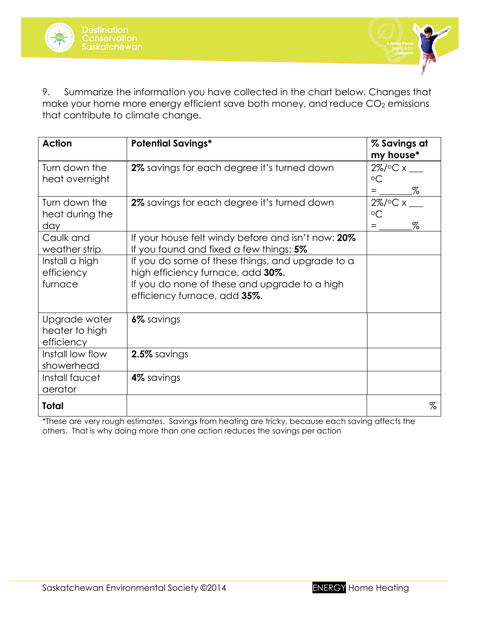



9. Summarize the information you have collected in the chart below. Changes that make your home more energy efficient save both money, and reduce  $CO<sub>2</sub>$  emissions that contribute to climate change.

| <b>Action</b>                                 | <b>Potential Savings*</b>                                                                                                                                              | % Savings at<br>my house*           |
|-----------------------------------------------|------------------------------------------------------------------------------------------------------------------------------------------------------------------------|-------------------------------------|
| Turn down the<br>heat overnight               | 2% savings for each degree it's turned down                                                                                                                            | 2%/°C x __<br>$\circ$ C<br>%<br>$=$ |
| Turn down the<br>heat during the<br>day       | 2% savings for each degree it's turned down                                                                                                                            | 2%/°C x<br>$\circ$ C<br>$\%$<br>$=$ |
| Caulk and<br>weather strip                    | If your house felt windy before and isn't now: 20%<br>If you found and fixed a few things: 5%                                                                          |                                     |
| Install a high<br>efficiency<br>furnace       | If you do some of these things, and upgrade to a<br>high efficiency furnace, add 30%.<br>If you do none of these and upgrade to a high<br>efficiency furnace, add 35%. |                                     |
| Upgrade water<br>heater to high<br>efficiency | 6% savings                                                                                                                                                             |                                     |
| Install low flow<br>showerhead                | 2.5% savings                                                                                                                                                           |                                     |
| Install faucet<br>aerator                     | 4% savings                                                                                                                                                             |                                     |
| <b>Total</b>                                  |                                                                                                                                                                        | $\%$                                |

\*These are very rough estimates. Savings from heating are tricky, because each saving affects the others. That is why doing more than one action reduces the savings per action